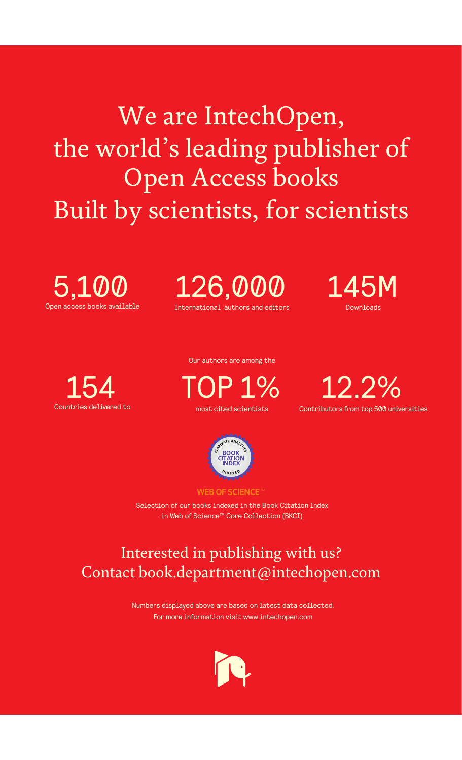We are IntechOpen, the world's leading publisher of Open Access books Built by scientists, for scientists

Open access books available 5,100

International authors and editors 126,000 145M

**Downloads** 



Our authors are among the

most cited scientists TOP 1%





**WEB OF SCIENCE** 

Selection of our books indexed in the Book Citation Index in Web of Science™ Core Collection (BKCI)

## Interested in publishing with us? Contact book.department@intechopen.com

Numbers displayed above are based on latest data collected. For more information visit www.intechopen.com

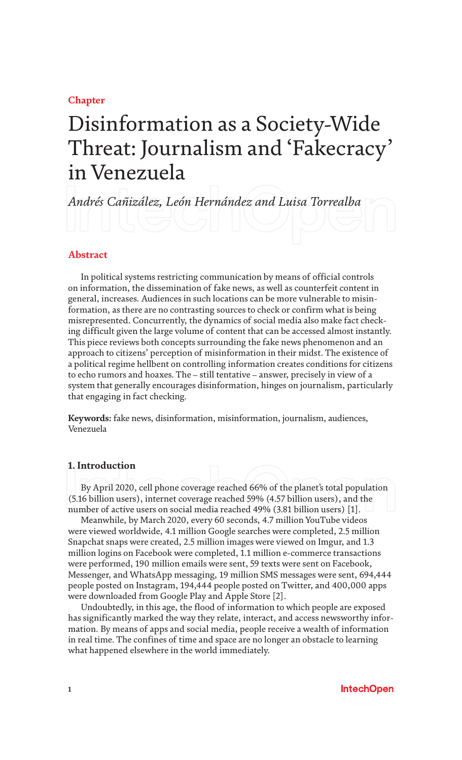**Chapter**

# Disinformation as a Society-Wide Threat: Journalism and 'Fakecracy' in Venezuela

*Andrés Cañizález, León Hernández and Luisa Torrealba*

#### **Abstract**

In political systems restricting communication by means of official controls on information, the dissemination of fake news, as well as counterfeit content in general, increases. Audiences in such locations can be more vulnerable to misinformation, as there are no contrasting sources to check or confirm what is being misrepresented. Concurrently, the dynamics of social media also make fact checking difficult given the large volume of content that can be accessed almost instantly. This piece reviews both concepts surrounding the fake news phenomenon and an approach to citizens' perception of misinformation in their midst. The existence of a political regime hellbent on controlling information creates conditions for citizens to echo rumors and hoaxes. The – still tentative – answer, precisely in view of a system that generally encourages disinformation, hinges on journalism, particularly that engaging in fact checking.

**Keywords:** fake news, disinformation, misinformation, journalism, audiences, Venezuela

#### **1. Introduction**

By April 2020, cell phone coverage reached 66% of the planet's total population (5.16 billion users), internet coverage reached 59% (4.57 billion users), and the number of active users on social media reached 49% (3.81 billion users) [1].

Meanwhile, by March 2020, every 60 seconds, 4.7 million YouTube videos were viewed worldwide, 4.1 million Google searches were completed, 2.5 million Snapchat snaps were created, 2.5 million images were viewed on Imgur, and 1.3 million logins on Facebook were completed, 1.1 million e-commerce transactions were performed, 190 million emails were sent, 59 texts were sent on Facebook, Messenger, and WhatsApp messaging, 19 million SMS messages were sent, 694,444 people posted on Instagram, 194,444 people posted on Twitter, and 400,000 apps were downloaded from Google Play and Apple Store [2].

Undoubtedly, in this age, the flood of information to which people are exposed has significantly marked the way they relate, interact, and access newsworthy information. By means of apps and social media, people receive a wealth of information in real time. The confines of time and space are no longer an obstacle to learning what happened elsewhere in the world immediately.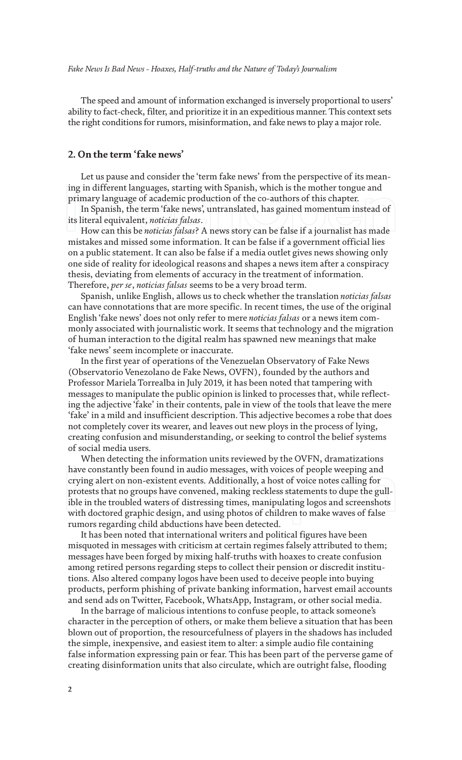The speed and amount of information exchanged is inversely proportional to users' ability to fact-check, filter, and prioritize it in an expeditious manner. This context sets the right conditions for rumors, misinformation, and fake news to play a major role.

#### **2. On the term 'fake news'**

Let us pause and consider the 'term fake news' from the perspective of its meaning in different languages, starting with Spanish, which is the mother tongue and primary language of academic production of the co-authors of this chapter.

In Spanish, the term 'fake news', untranslated, has gained momentum instead of its literal equivalent, *noticias falsas*.

How can this be *noticias falsas*? A news story can be false if a journalist has made mistakes and missed some information. It can be false if a government official lies on a public statement. It can also be false if a media outlet gives news showing only one side of reality for ideological reasons and shapes a news item after a conspiracy thesis, deviating from elements of accuracy in the treatment of information. Therefore, *per se*, *noticias falsas* seems to be a very broad term.

Spanish, unlike English, allows us to check whether the translation *noticias falsas* can have connotations that are more specific. In recent times, the use of the original English 'fake news' does not only refer to mere *noticias falsas* or a news item commonly associated with journalistic work. It seems that technology and the migration of human interaction to the digital realm has spawned new meanings that make 'fake news' seem incomplete or inaccurate.

In the first year of operations of the Venezuelan Observatory of Fake News (Observatorio Venezolano de Fake News, OVFN), founded by the authors and Professor Mariela Torrealba in July 2019, it has been noted that tampering with messages to manipulate the public opinion is linked to processes that, while reflecting the adjective 'fake' in their contents, pale in view of the tools that leave the mere 'fake' in a mild and insufficient description. This adjective becomes a robe that does not completely cover its wearer, and leaves out new ploys in the process of lying, creating confusion and misunderstanding, or seeking to control the belief systems of social media users.

When detecting the information units reviewed by the OVFN, dramatizations have constantly been found in audio messages, with voices of people weeping and crying alert on non-existent events. Additionally, a host of voice notes calling for protests that no groups have convened, making reckless statements to dupe the gullible in the troubled waters of distressing times, manipulating logos and screenshots with doctored graphic design, and using photos of children to make waves of false rumors regarding child abductions have been detected.

It has been noted that international writers and political figures have been misquoted in messages with criticism at certain regimes falsely attributed to them; messages have been forged by mixing half-truths with hoaxes to create confusion among retired persons regarding steps to collect their pension or discredit institutions. Also altered company logos have been used to deceive people into buying products, perform phishing of private banking information, harvest email accounts and send ads on Twitter, Facebook, WhatsApp, Instagram, or other social media.

In the barrage of malicious intentions to confuse people, to attack someone's character in the perception of others, or make them believe a situation that has been blown out of proportion, the resourcefulness of players in the shadows has included the simple, inexpensive, and easiest item to alter: a simple audio file containing false information expressing pain or fear. This has been part of the perverse game of creating disinformation units that also circulate, which are outright false, flooding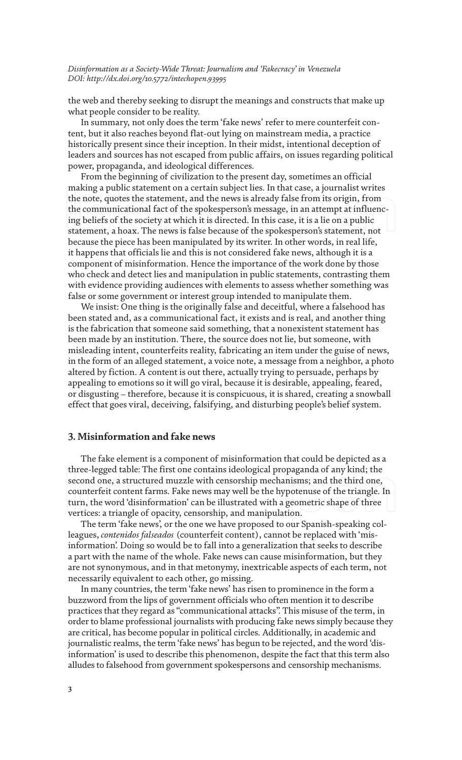the web and thereby seeking to disrupt the meanings and constructs that make up what people consider to be reality.

In summary, not only does the term 'fake news' refer to mere counterfeit content, but it also reaches beyond flat-out lying on mainstream media, a practice historically present since their inception. In their midst, intentional deception of leaders and sources has not escaped from public affairs, on issues regarding political power, propaganda, and ideological differences.

From the beginning of civilization to the present day, sometimes an official making a public statement on a certain subject lies. In that case, a journalist writes the note, quotes the statement, and the news is already false from its origin, from the communicational fact of the spokesperson's message, in an attempt at influencing beliefs of the society at which it is directed. In this case, it is a lie on a public statement, a hoax. The news is false because of the spokesperson's statement, not because the piece has been manipulated by its writer. In other words, in real life, it happens that officials lie and this is not considered fake news, although it is a component of misinformation. Hence the importance of the work done by those who check and detect lies and manipulation in public statements, contrasting them with evidence providing audiences with elements to assess whether something was false or some government or interest group intended to manipulate them.

We insist: One thing is the originally false and deceitful, where a falsehood has been stated and, as a communicational fact, it exists and is real, and another thing is the fabrication that someone said something, that a nonexistent statement has been made by an institution. There, the source does not lie, but someone, with misleading intent, counterfeits reality, fabricating an item under the guise of news, in the form of an alleged statement, a voice note, a message from a neighbor, a photo altered by fiction. A content is out there, actually trying to persuade, perhaps by appealing to emotions so it will go viral, because it is desirable, appealing, feared, or disgusting – therefore, because it is conspicuous, it is shared, creating a snowball effect that goes viral, deceiving, falsifying, and disturbing people's belief system.

#### **3. Misinformation and fake news**

The fake element is a component of misinformation that could be depicted as a three-legged table: The first one contains ideological propaganda of any kind; the second one, a structured muzzle with censorship mechanisms; and the third one, counterfeit content farms. Fake news may well be the hypotenuse of the triangle. In turn, the word 'disinformation' can be illustrated with a geometric shape of three vertices: a triangle of opacity, censorship, and manipulation.

The term 'fake news', or the one we have proposed to our Spanish-speaking colleagues, *contenidos falseados* (counterfeit content), cannot be replaced with 'misinformation'. Doing so would be to fall into a generalization that seeks to describe a part with the name of the whole. Fake news can cause misinformation, but they are not synonymous, and in that metonymy, inextricable aspects of each term, not necessarily equivalent to each other, go missing.

In many countries, the term 'fake news' has risen to prominence in the form a buzzword from the lips of government officials who often mention it to describe practices that they regard as "communicational attacks". This misuse of the term, in order to blame professional journalists with producing fake news simply because they are critical, has become popular in political circles. Additionally, in academic and journalistic realms, the term 'fake news' has begun to be rejected, and the word 'disinformation' is used to describe this phenomenon, despite the fact that this term also alludes to falsehood from government spokespersons and censorship mechanisms.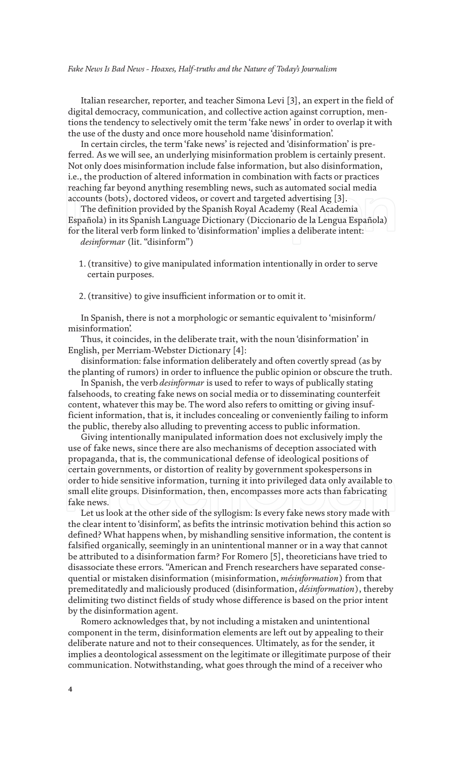Italian researcher, reporter, and teacher Simona Levi [3], an expert in the field of digital democracy, communication, and collective action against corruption, mentions the tendency to selectively omit the term 'fake news' in order to overlap it with the use of the dusty and once more household name 'disinformation'.

In certain circles, the term 'fake news' is rejected and 'disinformation' is preferred. As we will see, an underlying misinformation problem is certainly present. Not only does misinformation include false information, but also disinformation, i.e., the production of altered information in combination with facts or practices reaching far beyond anything resembling news, such as automated social media accounts (bots), doctored videos, or covert and targeted advertising [3].

The definition provided by the Spanish Royal Academy (Real Academia Española) in its Spanish Language Dictionary (Diccionario de la Lengua Española) for the literal verb form linked to 'disinformation' implies a deliberate intent:

*desinformar* (lit. "disinform")

- 1. (transitive) to give manipulated information intentionally in order to serve certain purposes.
- 2. (transitive) to give insufficient information or to omit it.

In Spanish, there is not a morphologic or semantic equivalent to 'misinform/ misinformation'.

Thus, it coincides, in the deliberate trait, with the noun 'disinformation' in English, per Merriam-Webster Dictionary [4]:

disinformation: false information deliberately and often covertly spread (as by the planting of rumors) in order to influence the public opinion or obscure the truth.

In Spanish, the verb *desinformar* is used to refer to ways of publically stating falsehoods, to creating fake news on social media or to disseminating counterfeit content, whatever this may be. The word also refers to omitting or giving insufficient information, that is, it includes concealing or conveniently failing to inform the public, thereby also alluding to preventing access to public information.

Giving intentionally manipulated information does not exclusively imply the use of fake news, since there are also mechanisms of deception associated with propaganda, that is, the communicational defense of ideological positions of certain governments, or distortion of reality by government spokespersons in order to hide sensitive information, turning it into privileged data only available to small elite groups. Disinformation, then, encompasses more acts than fabricating fake news.

Let us look at the other side of the syllogism: Is every fake news story made with the clear intent to 'disinform', as befits the intrinsic motivation behind this action so defined? What happens when, by mishandling sensitive information, the content is falsified organically, seemingly in an unintentional manner or in a way that cannot be attributed to a disinformation farm? For Romero [5], theoreticians have tried to disassociate these errors. "American and French researchers have separated consequential or mistaken disinformation (misinformation, *mésinformation*) from that premeditatedly and maliciously produced (disinformation, *désinformation*), thereby delimiting two distinct fields of study whose difference is based on the prior intent by the disinformation agent.

Romero acknowledges that, by not including a mistaken and unintentional component in the term, disinformation elements are left out by appealing to their deliberate nature and not to their consequences. Ultimately, as for the sender, it implies a deontological assessment on the legitimate or illegitimate purpose of their communication. Notwithstanding, what goes through the mind of a receiver who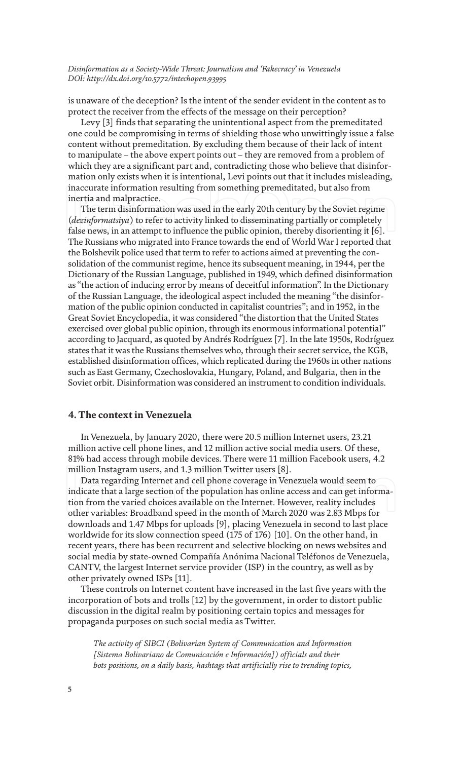is unaware of the deception? Is the intent of the sender evident in the content as to protect the receiver from the effects of the message on their perception?

Levy [3] finds that separating the unintentional aspect from the premeditated one could be compromising in terms of shielding those who unwittingly issue a false content without premeditation. By excluding them because of their lack of intent to manipulate – the above expert points out – they are removed from a problem of which they are a significant part and, contradicting those who believe that disinformation only exists when it is intentional, Levi points out that it includes misleading, inaccurate information resulting from something premeditated, but also from inertia and malpractice.

The term disinformation was used in the early 20th century by the Soviet regime (*dezinformatsiya*) to refer to activity linked to disseminating partially or completely false news, in an attempt to influence the public opinion, thereby disorienting it [6]. The Russians who migrated into France towards the end of World War I reported that the Bolshevik police used that term to refer to actions aimed at preventing the consolidation of the communist regime, hence its subsequent meaning, in 1944, per the Dictionary of the Russian Language, published in 1949, which defined disinformation as "the action of inducing error by means of deceitful information". In the Dictionary of the Russian Language, the ideological aspect included the meaning "the disinformation of the public opinion conducted in capitalist countries"; and in 1952, in the Great Soviet Encyclopedia, it was considered "the distortion that the United States exercised over global public opinion, through its enormous informational potential" according to Jacquard, as quoted by Andrés Rodríguez [7]. In the late 1950s, Rodríguez states that it was the Russians themselves who, through their secret service, the KGB, established disinformation offices, which replicated during the 1960s in other nations such as East Germany, Czechoslovakia, Hungary, Poland, and Bulgaria, then in the Soviet orbit. Disinformation was considered an instrument to condition individuals.

#### **4. The context in Venezuela**

In Venezuela, by January 2020, there were 20.5 million Internet users, 23.21 million active cell phone lines, and 12 million active social media users. Of these, 81% had access through mobile devices. There were 11 million Facebook users, 4.2 million Instagram users, and 1.3 million Twitter users [8].

Data regarding Internet and cell phone coverage in Venezuela would seem to indicate that a large section of the population has online access and can get information from the varied choices available on the Internet. However, reality includes other variables: Broadband speed in the month of March 2020 was 2.83 Mbps for downloads and 1.47 Mbps for uploads [9], placing Venezuela in second to last place worldwide for its slow connection speed (175 of 176) [10]. On the other hand, in recent years, there has been recurrent and selective blocking on news websites and social media by state-owned Compañía Anónima Nacional Teléfonos de Venezuela, CANTV, the largest Internet service provider (ISP) in the country, as well as by other privately owned ISPs [11].

These controls on Internet content have increased in the last five years with the incorporation of bots and trolls [12] by the government, in order to distort public discussion in the digital realm by positioning certain topics and messages for propaganda purposes on such social media as Twitter.

*The activity of SIBCI (Bolivarian System of Communication and Information [Sistema Bolivariano de Comunicación e Información]) officials and their bots positions, on a daily basis, hashtags that artificially rise to trending topics,*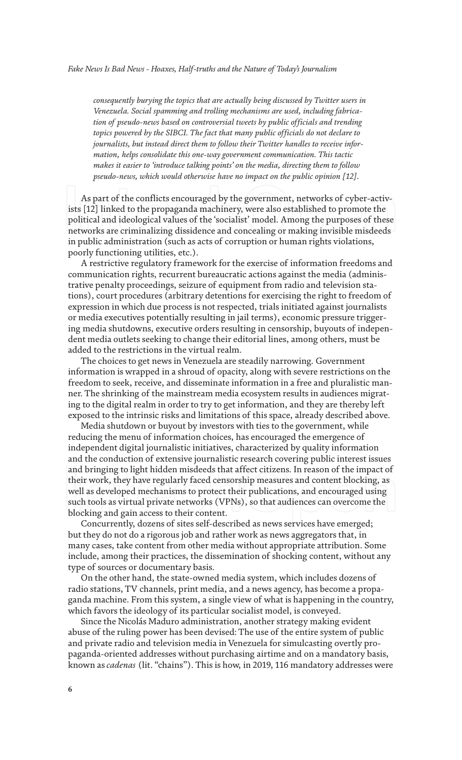*consequently burying the topics that are actually being discussed by Twitter users in Venezuela. Social spamming and trolling mechanisms are used, including fabrication of pseudo-news based on controversial tweets by public officials and trending topics powered by the SIBCI. The fact that many public officials do not declare to journalists, but instead direct them to follow their Twitter handles to receive information, helps consolidate this one-way government communication. This tactic makes it easier to 'introduce talking points' on the media, directing them to follow pseudo-news, which would otherwise have no impact on the public opinion [12].*

As part of the conflicts encouraged by the government, networks of cyber-activists [12] linked to the propaganda machinery, were also established to promote the political and ideological values of the 'socialist' model. Among the purposes of these networks are criminalizing dissidence and concealing or making invisible misdeeds in public administration (such as acts of corruption or human rights violations, poorly functioning utilities, etc.).

A restrictive regulatory framework for the exercise of information freedoms and communication rights, recurrent bureaucratic actions against the media (administrative penalty proceedings, seizure of equipment from radio and television stations), court procedures (arbitrary detentions for exercising the right to freedom of expression in which due process is not respected, trials initiated against journalists or media executives potentially resulting in jail terms), economic pressure triggering media shutdowns, executive orders resulting in censorship, buyouts of independent media outlets seeking to change their editorial lines, among others, must be added to the restrictions in the virtual realm.

The choices to get news in Venezuela are steadily narrowing. Government information is wrapped in a shroud of opacity, along with severe restrictions on the freedom to seek, receive, and disseminate information in a free and pluralistic manner. The shrinking of the mainstream media ecosystem results in audiences migrating to the digital realm in order to try to get information, and they are thereby left exposed to the intrinsic risks and limitations of this space, already described above.

Media shutdown or buyout by investors with ties to the government, while reducing the menu of information choices, has encouraged the emergence of independent digital journalistic initiatives, characterized by quality information and the conduction of extensive journalistic research covering public interest issues and bringing to light hidden misdeeds that affect citizens. In reason of the impact of their work, they have regularly faced censorship measures and content blocking, as well as developed mechanisms to protect their publications, and encouraged using such tools as virtual private networks (VPNs), so that audiences can overcome the blocking and gain access to their content.

Concurrently, dozens of sites self-described as news services have emerged; but they do not do a rigorous job and rather work as news aggregators that, in many cases, take content from other media without appropriate attribution. Some include, among their practices, the dissemination of shocking content, without any type of sources or documentary basis.

On the other hand, the state-owned media system, which includes dozens of radio stations, TV channels, print media, and a news agency, has become a propaganda machine. From this system, a single view of what is happening in the country, which favors the ideology of its particular socialist model, is conveyed.

Since the Nicolás Maduro administration, another strategy making evident abuse of the ruling power has been devised: The use of the entire system of public and private radio and television media in Venezuela for simulcasting overtly propaganda-oriented addresses without purchasing airtime and on a mandatory basis, known as *cadenas* (lit. "chains"). This is how, in 2019, 116 mandatory addresses were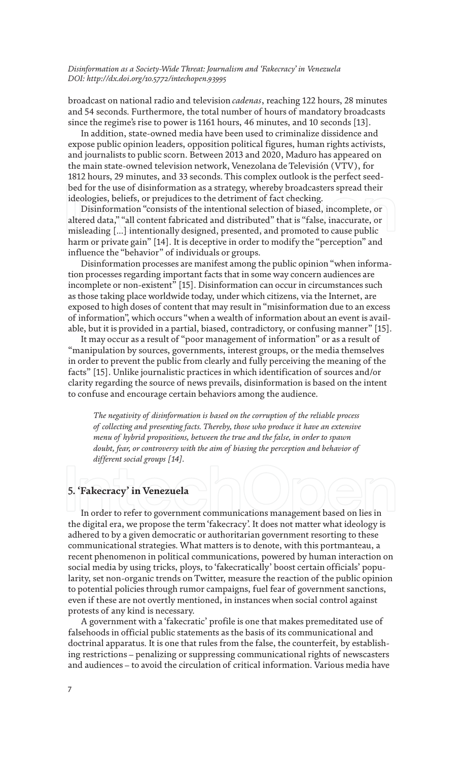broadcast on national radio and television *cadenas*, reaching 122 hours, 28 minutes and 54 seconds. Furthermore, the total number of hours of mandatory broadcasts since the regime's rise to power is 1161 hours, 46 minutes, and 10 seconds [13].

In addition, state-owned media have been used to criminalize dissidence and expose public opinion leaders, opposition political figures, human rights activists, and journalists to public scorn. Between 2013 and 2020, Maduro has appeared on the main state-owned television network, Venezolana de Televisión (VTV), for 1812 hours, 29 minutes, and 33 seconds. This complex outlook is the perfect seedbed for the use of disinformation as a strategy, whereby broadcasters spread their ideologies, beliefs, or prejudices to the detriment of fact checking.

Disinformation "consists of the intentional selection of biased, incomplete, or altered data," "all content fabricated and distributed" that is "false, inaccurate, or misleading […] intentionally designed, presented, and promoted to cause public harm or private gain" [14]. It is deceptive in order to modify the "perception" and influence the "behavior" of individuals or groups.

Disinformation processes are manifest among the public opinion "when information processes regarding important facts that in some way concern audiences are incomplete or non-existent" [15]. Disinformation can occur in circumstances such as those taking place worldwide today, under which citizens, via the Internet, are exposed to high doses of content that may result in "misinformation due to an excess of information", which occurs "when a wealth of information about an event is available, but it is provided in a partial, biased, contradictory, or confusing manner" [15].

It may occur as a result of "poor management of information" or as a result of "manipulation by sources, governments, interest groups, or the media themselves in order to prevent the public from clearly and fully perceiving the meaning of the facts" [15]. Unlike journalistic practices in which identification of sources and/or clarity regarding the source of news prevails, disinformation is based on the intent to confuse and encourage certain behaviors among the audience.

*The negativity of disinformation is based on the corruption of the reliable process of collecting and presenting facts. Thereby, those who produce it have an extensive menu of hybrid propositions, between the true and the false, in order to spawn doubt, fear, or controversy with the aim of biasing the perception and behavior of different social groups [14].*

#### **5. 'Fakecracy' in Venezuela**

In order to refer to government communications management based on lies in the digital era, we propose the term 'fakecracy'. It does not matter what ideology is adhered to by a given democratic or authoritarian government resorting to these communicational strategies. What matters is to denote, with this portmanteau, a recent phenomenon in political communications, powered by human interaction on social media by using tricks, ploys, to 'fakecratically' boost certain officials' popularity, set non-organic trends on Twitter, measure the reaction of the public opinion to potential policies through rumor campaigns, fuel fear of government sanctions, even if these are not overtly mentioned, in instances when social control against protests of any kind is necessary.

A government with a 'fakecratic' profile is one that makes premeditated use of falsehoods in official public statements as the basis of its communicational and doctrinal apparatus. It is one that rules from the false, the counterfeit, by establishing restrictions – penalizing or suppressing communicational rights of newscasters and audiences – to avoid the circulation of critical information. Various media have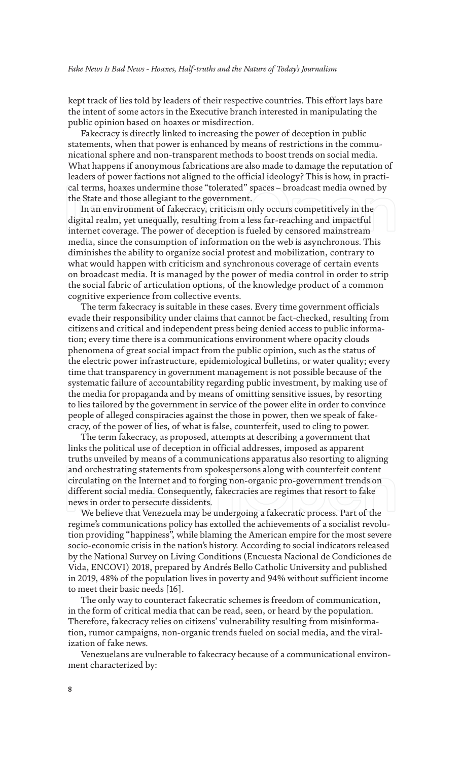kept track of lies told by leaders of their respective countries. This effort lays bare the intent of some actors in the Executive branch interested in manipulating the public opinion based on hoaxes or misdirection.

Fakecracy is directly linked to increasing the power of deception in public statements, when that power is enhanced by means of restrictions in the communicational sphere and non-transparent methods to boost trends on social media. What happens if anonymous fabrications are also made to damage the reputation of leaders of power factions not aligned to the official ideology? This is how, in practical terms, hoaxes undermine those "tolerated" spaces – broadcast media owned by the State and those allegiant to the government.

In an environment of fakecracy, criticism only occurs competitively in the digital realm, yet unequally, resulting from a less far-reaching and impactful internet coverage. The power of deception is fueled by censored mainstream media, since the consumption of information on the web is asynchronous. This diminishes the ability to organize social protest and mobilization, contrary to what would happen with criticism and synchronous coverage of certain events on broadcast media. It is managed by the power of media control in order to strip the social fabric of articulation options, of the knowledge product of a common cognitive experience from collective events.

The term fakecracy is suitable in these cases. Every time government officials evade their responsibility under claims that cannot be fact-checked, resulting from citizens and critical and independent press being denied access to public information; every time there is a communications environment where opacity clouds phenomena of great social impact from the public opinion, such as the status of the electric power infrastructure, epidemiological bulletins, or water quality; every time that transparency in government management is not possible because of the systematic failure of accountability regarding public investment, by making use of the media for propaganda and by means of omitting sensitive issues, by resorting to lies tailored by the government in service of the power elite in order to convince people of alleged conspiracies against the those in power, then we speak of fakecracy, of the power of lies, of what is false, counterfeit, used to cling to power.

The term fakecracy, as proposed, attempts at describing a government that links the political use of deception in official addresses, imposed as apparent truths unveiled by means of a communications apparatus also resorting to aligning and orchestrating statements from spokespersons along with counterfeit content circulating on the Internet and to forging non-organic pro-government trends on different social media. Consequently, fakecracies are regimes that resort to fake news in order to persecute dissidents.

We believe that Venezuela may be undergoing a fakecratic process. Part of the regime's communications policy has extolled the achievements of a socialist revolution providing "happiness", while blaming the American empire for the most severe socio-economic crisis in the nation's history. According to social indicators released by the National Survey on Living Conditions (Encuesta Nacional de Condiciones de Vida, ENCOVI) 2018, prepared by Andrés Bello Catholic University and published in 2019, 48% of the population lives in poverty and 94% without sufficient income to meet their basic needs [16].

The only way to counteract fakecratic schemes is freedom of communication, in the form of critical media that can be read, seen, or heard by the population. Therefore, fakecracy relies on citizens' vulnerability resulting from misinformation, rumor campaigns, non-organic trends fueled on social media, and the viralization of fake news.

Venezuelans are vulnerable to fakecracy because of a communicational environment characterized by: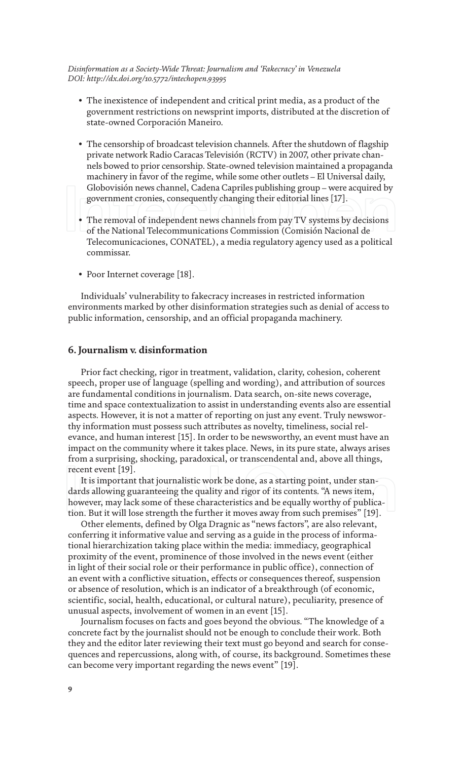- The inexistence of independent and critical print media, as a product of the government restrictions on newsprint imports, distributed at the discretion of state-owned Corporación Maneiro.
- The censorship of broadcast television channels. After the shutdown of flagship private network Radio Caracas Televisión (RCTV) in 2007, other private channels bowed to prior censorship. State-owned television maintained a propaganda machinery in favor of the regime, while some other outlets – El Universal daily, Globovisión news channel, Cadena Capriles publishing group – were acquired by government cronies, consequently changing their editorial lines [17].
- The removal of independent news channels from pay TV systems by decisions of the National Telecommunications Commission (Comisión Nacional de Telecomunicaciones, CONATEL), a media regulatory agency used as a political commissar.
- Poor Internet coverage [18].

Individuals' vulnerability to fakecracy increases in restricted information environments marked by other disinformation strategies such as denial of access to public information, censorship, and an official propaganda machinery.

#### **6. Journalism v. disinformation**

Prior fact checking, rigor in treatment, validation, clarity, cohesion, coherent speech, proper use of language (spelling and wording), and attribution of sources are fundamental conditions in journalism. Data search, on-site news coverage, time and space contextualization to assist in understanding events also are essential aspects. However, it is not a matter of reporting on just any event. Truly newsworthy information must possess such attributes as novelty, timeliness, social relevance, and human interest [15]. In order to be newsworthy, an event must have an impact on the community where it takes place. News, in its pure state, always arises from a surprising, shocking, paradoxical, or transcendental and, above all things, recent event [19].

It is important that journalistic work be done, as a starting point, under standards allowing guaranteeing the quality and rigor of its contents. "A news item, however, may lack some of these characteristics and be equally worthy of publication. But it will lose strength the further it moves away from such premises" [19].

Other elements, defined by Olga Dragnic as "news factors", are also relevant, conferring it informative value and serving as a guide in the process of informational hierarchization taking place within the media: immediacy, geographical proximity of the event, prominence of those involved in the news event (either in light of their social role or their performance in public office), connection of an event with a conflictive situation, effects or consequences thereof, suspension or absence of resolution, which is an indicator of a breakthrough (of economic, scientific, social, health, educational, or cultural nature), peculiarity, presence of unusual aspects, involvement of women in an event [15].

Journalism focuses on facts and goes beyond the obvious. "The knowledge of a concrete fact by the journalist should not be enough to conclude their work. Both they and the editor later reviewing their text must go beyond and search for consequences and repercussions, along with, of course, its background. Sometimes these can become very important regarding the news event" [19].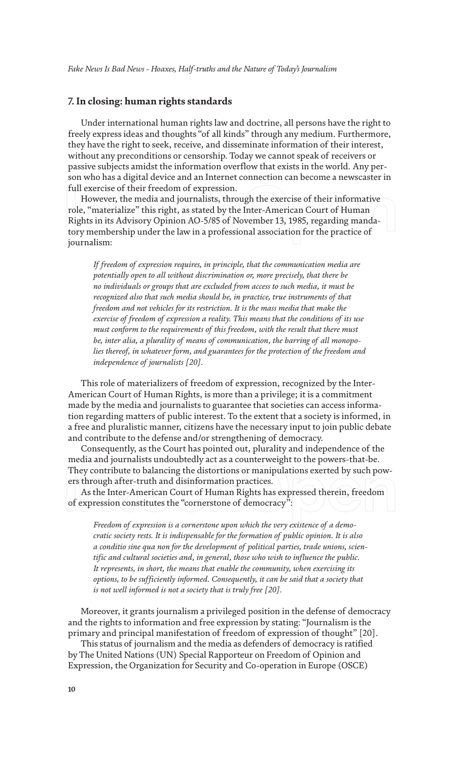#### **7. In closing: human rights standards**

Under international human rights law and doctrine, all persons have the right to freely express ideas and thoughts "of all kinds" through any medium. Furthermore, they have the right to seek, receive, and disseminate information of their interest, without any preconditions or censorship. Today we cannot speak of receivers or passive subjects amidst the information overflow that exists in the world. Any person who has a digital device and an Internet connection can become a newscaster in full exercise of their freedom of expression.

However, the media and journalists, through the exercise of their informative role, "materialize" this right, as stated by the Inter-American Court of Human Rights in its Advisory Opinion AO-5/85 of November 13, 1985, regarding mandatory membership under the law in a professional association for the practice of journalism:

*If freedom of expression requires, in principle, that the communication media are potentially open to all without discrimination or, more precisely, that there be no individuals or groups that are excluded from access to such media, it must be recognized also that such media should be, in practice, true instruments of that freedom and not vehicles for its restriction. It is the mass media that make the exercise of freedom of expression a reality. This means that the conditions of its use must conform to the requirements of this freedom, with the result that there must be, inter alia, a plurality of means of communication, the barring of all monopolies thereof, in whatever form, and guarantees for the protection of the freedom and independence of journalists [20].*

This role of materializers of freedom of expression, recognized by the Inter-American Court of Human Rights, is more than a privilege; it is a commitment made by the media and journalists to guarantee that societies can access information regarding matters of public interest. To the extent that a society is informed, in a free and pluralistic manner, citizens have the necessary input to join public debate and contribute to the defense and/or strengthening of democracy.

Consequently, as the Court has pointed out, plurality and independence of the media and journalists undoubtedly act as a counterweight to the powers-that-be. They contribute to balancing the distortions or manipulations exerted by such powers through after-truth and disinformation practices.

As the Inter-American Court of Human Rights has expressed therein, freedom of expression constitutes the "cornerstone of democracy":

*Freedom of expression is a cornerstone upon which the very existence of a democratic society rests. It is indispensable for the formation of public opinion. It is also a conditio sine qua non for the development of political parties, trade unions, scientific and cultural societies and, in general, those who wish to influence the public. It represents, in short, the means that enable the community, when exercising its options, to be sufficiently informed. Consequently, it can be said that a society that is not well informed is not a society that is truly free [20].*

Moreover, it grants journalism a privileged position in the defense of democracy and the rights to information and free expression by stating: "Journalism is the primary and principal manifestation of freedom of expression of thought" [20].

This status of journalism and the media as defenders of democracy is ratified by The United Nations (UN) Special Rapporteur on Freedom of Opinion and Expression, the Organization for Security and Co-operation in Europe (OSCE)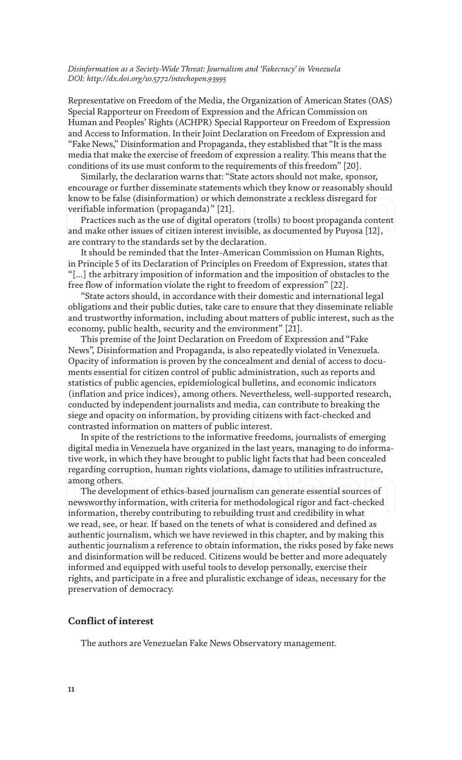Representative on Freedom of the Media, the Organization of American States (OAS) Special Rapporteur on Freedom of Expression and the African Commission on Human and Peoples' Rights (ACHPR) Special Rapporteur on Freedom of Expression and Access to Information. In their Joint Declaration on Freedom of Expression and "Fake News," Disinformation and Propaganda, they established that "It is the mass media that make the exercise of freedom of expression a reality. This means that the conditions of its use must conform to the requirements of this freedom" [20].

Similarly, the declaration warns that: "State actors should not make, sponsor, encourage or further disseminate statements which they know or reasonably should know to be false (disinformation) or which demonstrate a reckless disregard for verifiable information (propaganda)" [21].

Practices such as the use of digital operators (trolls) to boost propaganda content and make other issues of citizen interest invisible, as documented by Puyosa [12], are contrary to the standards set by the declaration.

It should be reminded that the Inter-American Commission on Human Rights, in Principle 5 of its Declaration of Principles on Freedom of Expression, states that "[…] the arbitrary imposition of information and the imposition of obstacles to the free flow of information violate the right to freedom of expression" [22].

"State actors should, in accordance with their domestic and international legal obligations and their public duties, take care to ensure that they disseminate reliable and trustworthy information, including about matters of public interest, such as the economy, public health, security and the environment" [21].

This premise of the Joint Declaration on Freedom of Expression and "Fake News", Disinformation and Propaganda, is also repeatedly violated in Venezuela. Opacity of information is proven by the concealment and denial of access to documents essential for citizen control of public administration, such as reports and statistics of public agencies, epidemiological bulletins, and economic indicators (inflation and price indices), among others. Nevertheless, well-supported research, conducted by independent journalists and media, can contribute to breaking the siege and opacity on information, by providing citizens with fact-checked and contrasted information on matters of public interest.

In spite of the restrictions to the informative freedoms, journalists of emerging digital media in Venezuela have organized in the last years, managing to do informative work, in which they have brought to public light facts that had been concealed regarding corruption, human rights violations, damage to utilities infrastructure, among others.

The development of ethics-based journalism can generate essential sources of newsworthy information, with criteria for methodological rigor and fact-checked information, thereby contributing to rebuilding trust and credibility in what we read, see, or hear. If based on the tenets of what is considered and defined as authentic journalism, which we have reviewed in this chapter, and by making this authentic journalism a reference to obtain information, the risks posed by fake news and disinformation will be reduced. Citizens would be better and more adequately informed and equipped with useful tools to develop personally, exercise their rights, and participate in a free and pluralistic exchange of ideas, necessary for the preservation of democracy.

#### **Conflict of interest**

The authors are Venezuelan Fake News Observatory management.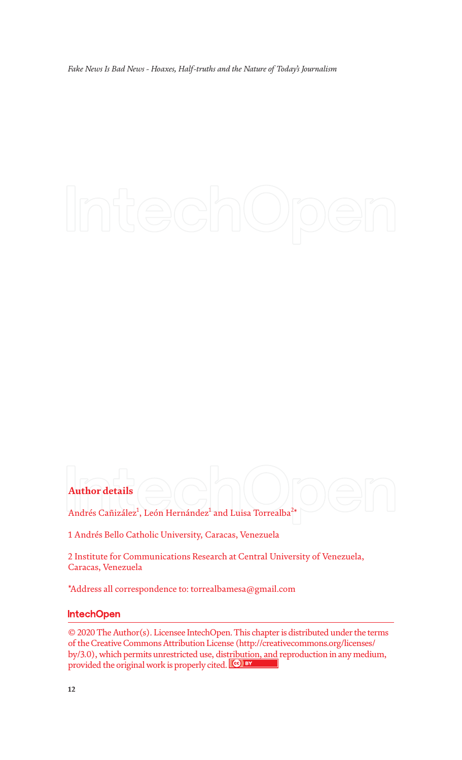### **Author details**

Andrés Cañizález $^1$ , León Hernández $^1$  and Luisa Torrealba $^{2\ast}$ 

1 Andrés Bello Catholic University, Caracas, Venezuela

2 Institute for Communications Research at Central University of Venezuela, Caracas, Venezuela

\*Address all correspondence to: torrealbamesa@gmail.com

#### **IntechOpen**

© 2020 The Author(s). Licensee IntechOpen. This chapter is distributed under the terms of the Creative Commons Attribution License (http://creativecommons.org/licenses/ by/3.0), which permits unrestricted use, distribution, and reproduction in any medium, provided the original work is properly cited. CO BY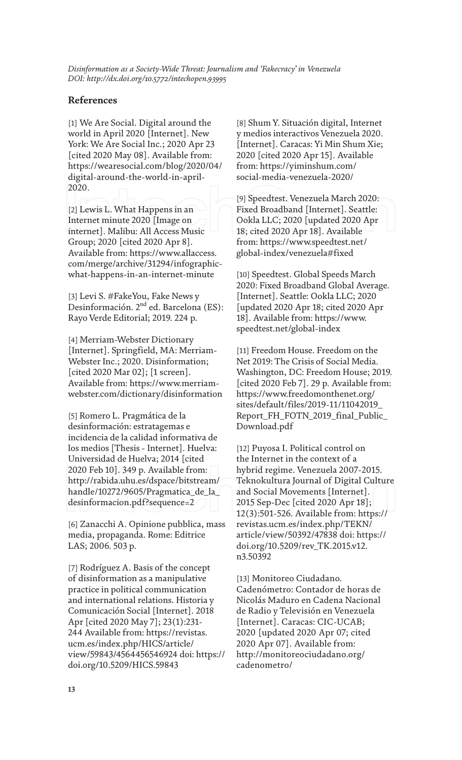#### **References**

[1] We Are Social. Digital around the world in April 2020 [Internet]. New York: We Are Social Inc.; 2020 Apr 23 [cited 2020 May 08]. Available from: https://wearesocial.com/blog/2020/04/ digital-around-the-world-in-april-2020.

[2] Lewis L. What Happens in an Internet minute 2020 [Image on internet]. Malibu: All Access Music Group; 2020 [cited 2020 Apr 8]. Available from: https://www.allaccess. com/merge/archive/31294/infographicwhat-happens-in-an-internet-minute

[3] Levi S. #FakeYou, Fake News y Desinformación. 2<sup>nd</sup> ed. Barcelona (ES): Rayo Verde Editorial; 2019. 224 p.

[4] Merriam-Webster Dictionary [Internet]. Springfield, MA: Merriam-Webster Inc.; 2020. Disinformation; [cited 2020 Mar 02]; [1 screen]. Available from: https://www.merriamwebster.com/dictionary/disinformation

[5] Romero L. Pragmática de la desinformación: estratagemas e incidencia de la calidad informativa de los medios [Thesis - Internet]. Huelva: Universidad de Huelva; 2014 [cited 2020 Feb 10]. 349 p. Available from: http://rabida.uhu.es/dspace/bitstream/ handle/10272/9605/Pragmatica\_de\_la\_ desinformacion.pdf?sequence=2

[6] Zanacchi A. Opinione pubblica, mass media, propaganda. Rome: Editrice LAS; 2006. 503 p.

[7] Rodríguez A. Basis of the concept of disinformation as a manipulative practice in political communication and international relations. Historia y Comunicación Social [Internet]. 2018 Apr [cited 2020 May 7]; 23(1):231- 244 Available from: https://revistas. ucm.es/index.php/HICS/article/ view/59843/4564456546924 doi: https:// doi.org/10.5209/HICS.59843

[8] Shum Y. Situación digital, Internet y medios interactivos Venezuela 2020. [Internet]. Caracas: Yi Min Shum Xie; 2020 [cited 2020 Apr 15]. Available from: https://yiminshum.com/ social-media-venezuela-2020/

[9] Speedtest. Venezuela March 2020: Fixed Broadband [Internet]. Seattle: Ookla LLC; 2020 [updated 2020 Apr 18; cited 2020 Apr 18]. Available from: https://www.speedtest.net/ global-index/venezuela#fixed

[10] Speedtest. Global Speeds March 2020: Fixed Broadband Global Average. [Internet]. Seattle: Ookla LLC; 2020 [updated 2020 Apr 18; cited 2020 Apr 18]. Available from: https://www. speedtest.net/global-index

[11] Freedom House. Freedom on the Net 2019: The Crisis of Social Media. Washington, DC: Freedom House; 2019. [cited 2020 Feb 7]. 29 p. Available from: https://www.freedomonthenet.org/ sites/default/files/2019-11/11042019\_ Report\_FH\_FOTN\_2019\_final\_Public\_ Download.pdf

[12] Puyosa I. Political control on the Internet in the context of a hybrid regime. Venezuela 2007-2015. Teknokultura Journal of Digital Culture and Social Movements [Internet]. 2015 Sep-Dec [cited 2020 Apr 18]; 12(3):501-526. Available from: https:// revistas.ucm.es/index.php/TEKN/ article/view/50392/47838 doi: https:// doi.org/10.5209/rev\_TK.2015.v12. n3.50392

[13] Monitoreo Ciudadano. Cadenómetro: Contador de horas de Nicolás Maduro en Cadena Nacional de Radio y Televisión en Venezuela [Internet]. Caracas: CIC-UCAB; 2020 [updated 2020 Apr 07; cited 2020 Apr 07]. Available from: http://monitoreociudadano.org/ cadenometro/